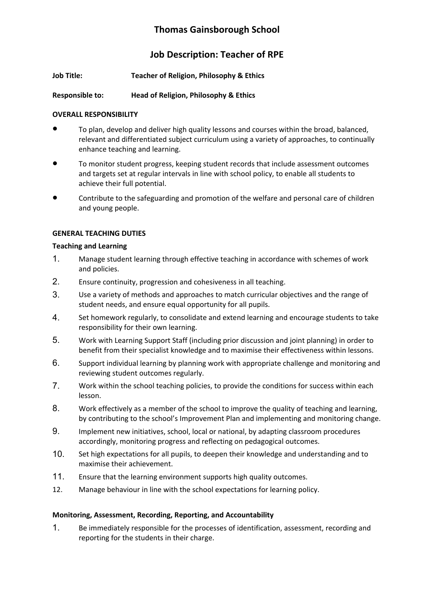# **Thomas Gainsborough School**

# **Job Description: Teacher of RPE**

- **Job Title: Teacher of Religion, Philosophy & Ethics**
- **Responsible to: Head of Religion, Philosophy & Ethics**

## **OVERALL RESPONSIBILITY**

- To plan, develop and deliver high quality lessons and courses within the broad, balanced, relevant and differentiated subject curriculum using a variety of approaches, to continually enhance teaching and learning.
- To monitor student progress, keeping student records that include assessment outcomes and targets set at regular intervals in line with school policy, to enable all students to achieve their full potential.
- Contribute to the safeguarding and promotion of the welfare and personal care of children and young people.

# **GENERAL TEACHING DUTIES**

## **Teaching and Learning**

- 1. Manage student learning through effective teaching in accordance with schemes of work and policies.
- 2. Ensure continuity, progression and cohesiveness in all teaching.
- 3. Use a variety of methods and approaches to match curricular objectives and the range of student needs, and ensure equal opportunity for all pupils.
- 4. Set homework regularly, to consolidate and extend learning and encourage students to take responsibility for their own learning.
- 5. Work with Learning Support Staff (including prior discussion and joint planning) in order to benefit from their specialist knowledge and to maximise their effectiveness within lessons.
- 6. Support individual learning by planning work with appropriate challenge and monitoring and reviewing student outcomes regularly.
- 7. Work within the school teaching policies, to provide the conditions for success within each lesson.
- 8. Work effectively as a member of the school to improve the quality of teaching and learning, by contributing to the school's Improvement Plan and implementing and monitoring change.
- 9. Implement new initiatives, school, local or national, by adapting classroom procedures accordingly, monitoring progress and reflecting on pedagogical outcomes.
- 10. Set high expectations for all pupils, to deepen their knowledge and understanding and to maximise their achievement.
- 11. Ensure that the learning environment supports high quality outcomes.
- 12. Manage behaviour in line with the school expectations for learning policy.

## **Monitoring, Assessment, Recording, Reporting, and Accountability**

1. Be immediately responsible for the processes of identification, assessment, recording and reporting for the students in their charge.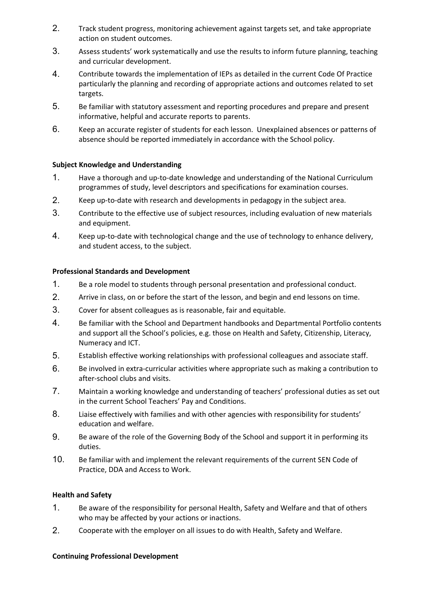- 2. Track student progress, monitoring achievement against targets set, and take appropriate action on student outcomes.
- 3. Assess students' work systematically and use the results to inform future planning, teaching and curricular development.
- 4. Contribute towards the implementation of IEPs as detailed in the current Code Of Practice particularly the planning and recording of appropriate actions and outcomes related to set targets.
- 5. Be familiar with statutory assessment and reporting procedures and prepare and present informative, helpful and accurate reports to parents.
- 6. Keep an accurate register of students for each lesson. Unexplained absences or patterns of absence should be reported immediately in accordance with the School policy.

#### **Subject Knowledge and Understanding**

- 1. Have a thorough and up-to-date knowledge and understanding of the National Curriculum programmes of study, level descriptors and specifications for examination courses.
- 2. Keep up-to-date with research and developments in pedagogy in the subject area.
- 3. Contribute to the effective use of subject resources, including evaluation of new materials and equipment.
- 4. Keep up-to-date with technological change and the use of technology to enhance delivery, and student access, to the subject.

#### **Professional Standards and Development**

- 1. Be a role model to students through personal presentation and professional conduct.
- 2. Arrive in class, on or before the start of the lesson, and begin and end lessons on time.
- 3. Cover for absent colleagues as is reasonable, fair and equitable.
- 4. Be familiar with the School and Department handbooks and Departmental Portfolio contents and support all the School's policies, e.g. those on Health and Safety, Citizenship, Literacy, Numeracy and ICT.
- 5. Establish effective working relationships with professional colleagues and associate staff.
- 6. Be involved in extra-curricular activities where appropriate such as making a contribution to after-school clubs and visits.
- 7. Maintain a working knowledge and understanding of teachers' professional duties as set out in the current School Teachers' Pay and Conditions.
- 8. Liaise effectively with families and with other agencies with responsibility for students' education and welfare.
- 9. Be aware of the role of the Governing Body of the School and support it in performing its duties.
- 10. Be familiar with and implement the relevant requirements of the current SEN Code of Practice, DDA and Access to Work.

#### **Health and Safety**

- 1. Be aware of the responsibility for personal Health, Safety and Welfare and that of others who may be affected by your actions or inactions.
- 2. Cooperate with the employer on all issues to do with Health, Safety and Welfare.

#### **Continuing Professional Development**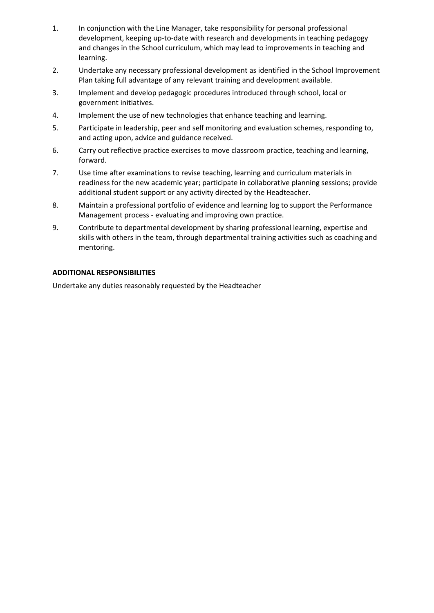- 1. In conjunction with the Line Manager, take responsibility for personal professional development, keeping up-to-date with research and developments in teaching pedagogy and changes in the School curriculum, which may lead to improvements in teaching and learning.
- 2. Undertake any necessary professional development as identified in the School Improvement Plan taking full advantage of any relevant training and development available.
- 3. Implement and develop pedagogic procedures introduced through school, local or government initiatives.
- 4. Implement the use of new technologies that enhance teaching and learning.
- 5. Participate in leadership, peer and self monitoring and evaluation schemes, responding to, and acting upon, advice and guidance received.
- 6. Carry out reflective practice exercises to move classroom practice, teaching and learning, forward.
- 7. Use time after examinations to revise teaching, learning and curriculum materials in readiness for the new academic year; participate in collaborative planning sessions; provide additional student support or any activity directed by the Headteacher.
- 8. Maintain a professional portfolio of evidence and learning log to support the Performance Management process - evaluating and improving own practice.
- 9. Contribute to departmental development by sharing professional learning, expertise and skills with others in the team, through departmental training activities such as coaching and mentoring.

#### **ADDITIONAL RESPONSIBILITIES**

Undertake any duties reasonably requested by the Headteacher